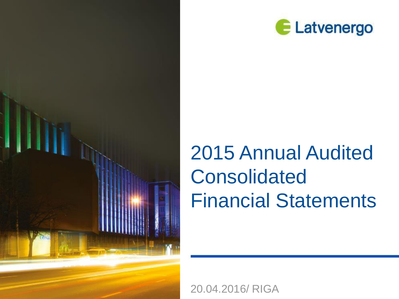



# 2015 Annual Audited Consolidated Financial Statements

20.04.2016/ RIGA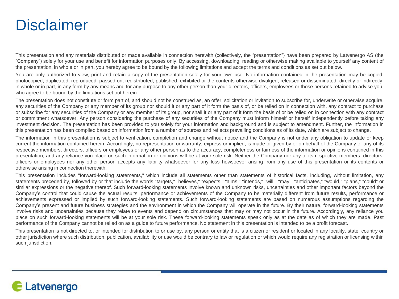## **Disclaimer**

This presentation and any materials distributed or made available in connection herewith (collectively, the "presentation") have been prepared by Latvenergo AS (the "Company") solely for your use and benefit for information purposes only. By accessing, downloading, reading or otherwise making available to yourself any content of the presentation, in whole or in part, you hereby agree to be bound by the following limitations and accept the terms and conditions as set out below.

You are only authorized to view, print and retain a copy of the presentation solely for your own use. No information contained in the presentation may be copied, photocopied, duplicated, reproduced, passed on, redistributed, published, exhibited or the contents otherwise divulged, released or disseminated, directly or indirectly, in whole or in part, in any form by any means and for any purpose to any other person than your directors, officers, employees or those persons retained to advise you, who agree to be bound by the limitations set out herein.

The presentation does not constitute or form part of, and should not be construed as, an offer, solicitation or invitation to subscribe for, underwrite or otherwise acquire, any securities of the Company or any member of its group nor should it or any part of it form the basis of, or be relied on in connection with, any contract to purchase or subscribe for any securities of the Company or any member of its group, nor shall it or any part of it form the basis of or be relied on in connection with any contract or commitment whatsoever. Any person considering the purchase of any securities of the Company must inform himself or herself independently before taking any investment decision. The presentation has been provided to you solely for your information and background and is subject to amendment. Further, the information in this presentation has been compiled based on information from a number of sources and reflects prevailing conditions as of its date, which are subject to change.

The information in this presentation is subject to verification, completion and change without notice and the Company is not under any obligation to update or keep current the information contained herein. Accordingly, no representation or warranty, express or implied, is made or given by or on behalf of the Company or any of its respective members, directors, officers or employees or any other person as to the accuracy, completeness or fairness of the information or opinions contained in this presentation, and any reliance you place on such information or opinions will be at your sole risk. Neither the Company nor any of its respective members, directors, officers or employees nor any other person accepts any liability whatsoever for any loss howsoever arising from any use of this presentation or its contents or otherwise arising in connection therewith.

This presentation includes "forward-looking statements," which include all statements other than statements of historical facts, including, without limitation, any statements preceded by, followed by or that include the words "targets," "believes," "expects," "aims," "intends," "will," "may," "anticipates," "would," "plans," "could" or similar expressions or the negative thereof. Such forward-looking statements involve known and unknown risks, uncertainties and other important factors beyond the Company's control that could cause the actual results, performance or achievements of the Company to be materially different from future results, performance or achievements expressed or implied by such forward-looking statements. Such forward-looking statements are based on numerous assumptions regarding the Company's present and future business strategies and the environment in which the Company will operate in the future. By their nature, forward-looking statements involve risks and uncertainties because they relate to events and depend on circumstances that may or may not occur in the future. Accordingly, any reliance you place on such forward-looking statements will be at your sole risk. These forward-looking statements speak only as at the date as of which they are made. Past performance of the Company cannot be relied on as a guide to future performance. No statement in this presentation is intended to be a profit forecast.

This presentation is not directed to, or intended for distribution to or use by, any person or entity that is a citizen or resident or located in any locality, state, country or other jurisdiction where such distribution, publication, availability or use would be contrary to law or regulation or which would require any registration or licensing within such jurisdiction.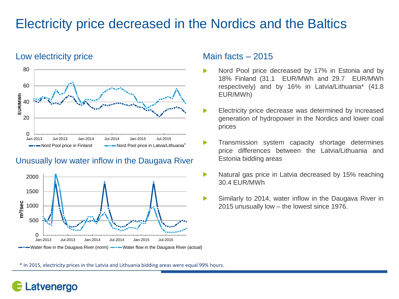## Electricity price decreased in the Nordics and the Baltics

#### Low electricity price Main facts – 2015



#### Unusually low water inflow in the Daugava River



- Nord Pool price decreased by 17% in Estonia and by 18% Finland (31.1 EUR/MWh and 29.7 EUR/MWh respectively) and by 16% in Latvia/Lithuania\* (41.8 EUR/MWh)
- ь Electricity price decrease was determined by increased generation of hydropower in the Nordics and lower coal prices
- ▶ Transmission system capacity shortage determines price differences between the Latvia/Lithuania and Estonia bidding areas
- $\blacktriangleright$ Natural gas price in Latvia decreased by 15% reaching 30.4 EUR/MWh
- $\blacktriangleright$ Similarly to 2014, water inflow in the Daugava River in 2015 unusually low – the lowest since 1976.

\* In 2015, electricity prices in the Latvia and Lithuania bidding areas were equal 99% hours.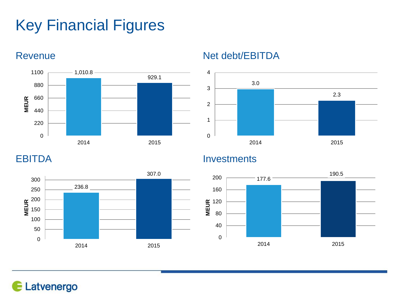# Key Financial Figures









### EBITDA Investments



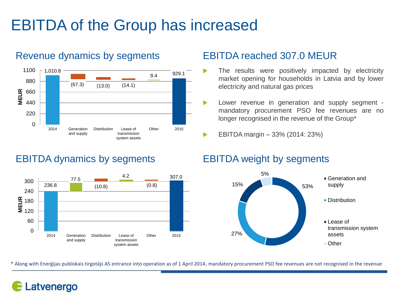# EBITDA of the Group has increased



### Revenue dynamics by segments EBITDA reached 307.0 MEUR

### EBITDA dynamics by segments EBITDA weight by segments



- The results were positively impacted by electricity market opening for households in Latvia and by lower electricity and natural gas prices
- $\blacktriangleright$ Lower revenue in generation and supply segment mandatory procurement PSO fee revenues are no longer recognised in the revenue of the Group\*
- EBITDA margin 33% (2014: 23%)  $\blacktriangleright$



\* Along with Enerģijas publiskais tirgotājs AS entrance into operation as of 1 April 2014, mandatory procurement PSO fee revenues are not recognised in the revenue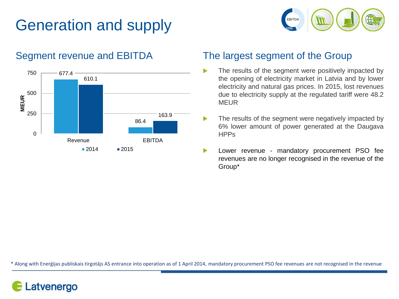# Generation and supply





### Segment revenue and EBITDA The largest segment of the Group

- The results of the segment were positively impacted by ь the opening of electricity market in Latvia and by lower electricity and natural gas prices. In 2015, lost revenues due to electricity supply at the regulated tariff were 48.2 MEUR
- The results of the segment were negatively impacted by  $\blacktriangleright$ 6% lower amount of power generated at the Daugava **HPPs**
- Lower revenue mandatory procurement PSO fee  $\blacktriangleright$ revenues are no longer recognised in the revenue of the Group\*

\* Along with Enerģijas publiskais tirgotājs AS entrance into operation as of 1 April 2014, mandatory procurement PSO fee revenues are not recognised in the revenue

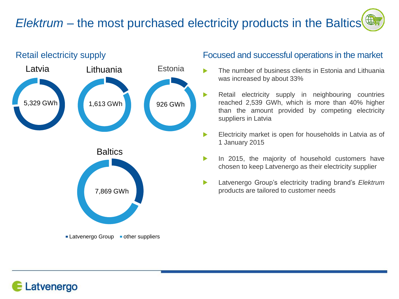## *Elektrum* – the most purchased electricity products in the Baltics



#### Retail electricity supply **Focused** and successful operations in the market

- The number of business clients in Estonia and Lithuania was increased by about 33%
- $\blacktriangleright$ Retail electricity supply in neighbouring countries reached 2,539 GWh, which is more than 40% higher than the amount provided by competing electricity suppliers in Latvia
- $\blacktriangleright$ Electricity market is open for households in Latvia as of 1 January 2015
- $\blacktriangleright$ In 2015, the majority of household customers have chosen to keep Latvenergo as their electricity supplier
- $\blacktriangleright$ Latvenergo Group's electricity trading brand's *Elektrum* products are tailored to customer needs

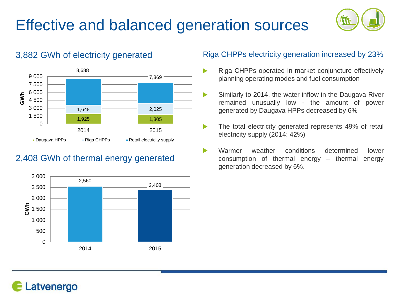# Effective and balanced generation sources



#### 1,925 1,805  $1.648$  2,025 8,688 7,869 0 1 500 3 000 4 500 6 000 7 500 9 000 2014 2015 **GWh Daugava HPPs** Riga CHPPs **Retail electricity supply**

### 2,408 GWh of thermal energy generated



#### 3,882 GWh of electricity generated Riga CHPPs electricity generation increased by 23%

- Riga CHPPs operated in market conjuncture effectively ь planning operating modes and fuel consumption
- $\blacktriangleright$ Similarly to 2014, the water inflow in the Daugava River remained unusually low - the amount of power generated by Daugava HPPs decreased by 6%
- ь The total electricity generated represents 49% of retail electricity supply (2014: 42%)
- Warmer weather conditions determined lower ь consumption of thermal energy – thermal energy generation decreased by 6%.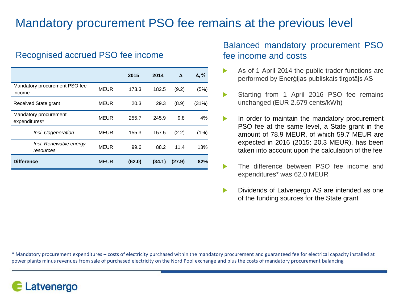## Mandatory procurement PSO fee remains at the previous level

#### Recognised accrued PSO fee income

|                                         |             | 2015   | 2014   | Δ      | $\Delta$ , % |
|-----------------------------------------|-------------|--------|--------|--------|--------------|
| Mandatory procurement PSO fee<br>income | <b>MEUR</b> | 173.3  | 182.5  | (9.2)  | (5%)         |
| Received State grant                    | <b>MEUR</b> | 20.3   | 29.3   | (8.9)  | (31%)        |
| Mandatory procurement<br>expenditures*  | <b>MEUR</b> | 255.7  | 245.9  | 9.8    | 4%           |
| Incl. Cogeneration                      | <b>MEUR</b> | 155.3  | 157.5  | (2.2)  | (1%)         |
| Incl. Renewable energy<br>resources     | <b>MEUR</b> | 99.6   | 88.2   | 11.4   | 13%          |
| <b>Difference</b>                       | <b>MEUR</b> | (62.0) | (34.1) | (27.9) | 82%          |

#### Balanced mandatory procurement PSO fee income and costs

- As of 1 April 2014 the public trader functions are performed by Enerģijas publiskais tirgotājs AS
- Starting from 1 April 2016 PSO fee remains  $\blacktriangleright$ unchanged (EUR 2.679 cents/kWh)
- $\blacktriangleright$ In order to maintain the mandatory procurement PSO fee at the same level, a State grant in the amount of 78.9 MEUR, of which 59.7 MEUR are expected in 2016 (2015: 20.3 MEUR), has been taken into account upon the calculation of the fee
- $\blacktriangleright$ The difference between PSO fee income and expenditures\* was 62.0 MEUR
- Dividends of Latvenergo AS are intended as one  $\blacktriangleright$ of the funding sources for the State grant

\* Mandatory procurement expenditures – costs of electricity purchased within the mandatory procurement and guaranteed fee for electrical capacity installed at power plants minus revenues from sale of purchased electricity on the Nord Pool exchange and plus the costs of mandatory procurement balancing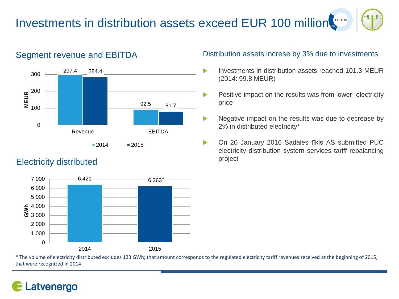#### Investments in distribution assets exceed EUR 100 million. EBITDA





### Electricity distributed



#### Segment revenue and EBITDA Distribution assets increse by 3% due to investments

- ь Investments in distribution assets reached 101.3 MEUR (2014: 99.8 MEUR)
- Positive impact on the results was from lower electricity  $\blacktriangleright$ price
- $\blacktriangleright$ Negative impact on the results was due to decrease by 2% in distributed electricity\*
- On 20 January 2016 Sadales tīkls AS submitted PUC  $\blacktriangleright$ electricity distribution system services tariff rebalancing project

\* The volume of electricity distributed excludes 123 GWh; that amount corresponds to the regulated electricity tariff revenues received at the beginning of 2015, that were recognized in 2014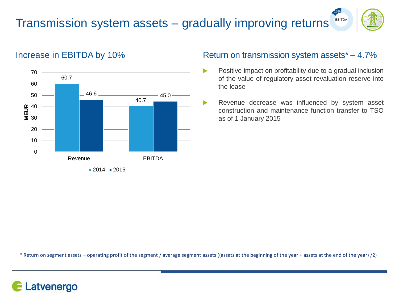#### Transmission system assets – gradually improving returns EBITDA



15%



### Increase in EBITDA by 10% Return on transmission system assets\* – 4.7%

- $\blacktriangleright$ Positive impact on profitability due to a gradual inclusion of the value of regulatory asset revaluation reserve into the lease
- Revenue decrease was influenced by system asset construction and maintenance function transfer to TSO as of 1 January 2015

\* Return on segment assets – operating profit of the segment / average segment assets ((assets at the beginning of the year + assets at the end of the year) /2)

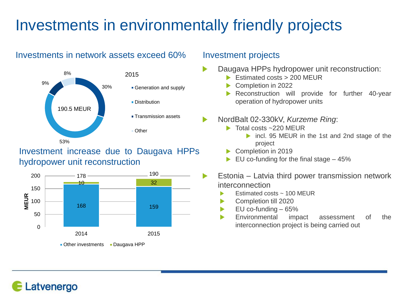# Investments in environmentally friendly projects

### Investments in network assets exceed 60% Investment projects



### Investment increase due to Daugava HPPs hydropower unit reconstruction



- Daugava HPPs hydropower unit reconstruction:
	- $\triangleright$  Estimated costs  $> 200$  MEUR
	- Completion in 2022
	- Reconstruction will provide for further 40-year operation of hydropower units
	- NordBalt 02-330kV, *Kurzeme Ring*:
		- ▶ Total costs ~220 MEUR
			- ▶ incl. 95 MEUR in the 1st and 2nd stage of the project
		- Completion in 2019
		- EU co-funding for the final stage 45%
		- Estonia Latvia third power transmission network interconnection
			- Estimated costs ~ 100 MEUR
			- Completion till 2020
			- EU co-funding 65%
			- Environmental impact assessment of the ь interconnection project is being carried out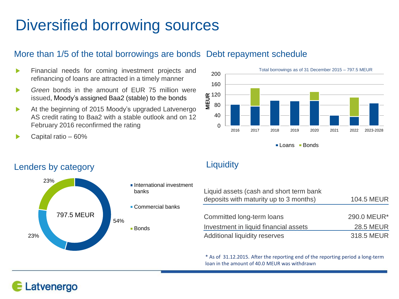# Diversified borrowing sources

### More than 1/5 of the total borrowings are bonds Debt repayment schedule

- Financial needs for coming investment projects and  $\blacktriangleright$ refinancing of loans are attracted in a timely manner
- *Green* bonds in the amount of EUR 75 million were  $\blacktriangleright$ issued, Moody's assigned Baa2 (stable) to the bonds
- At the beginning of 2015 Moody's upgraded Latvenergo  $\blacktriangleright$ AS credit rating to Baa2 with a stable outlook and on 12 February 2016 reconfirmed the rating
- Capital ratio 60%



■ Loans ■ Bonds

### Lenders by category **Liquidity**

Latvenergo



- **International investment** banks
- Commercial banks
- - Bonds

| Liquid assets (cash and short term bank<br>deposits with maturity up to 3 months) | <b>104.5 MEUR</b> |
|-----------------------------------------------------------------------------------|-------------------|
|                                                                                   |                   |
| Committed long-term loans                                                         | 290.0 MEUR*       |
| Investment in liquid financial assets                                             | <b>28.5 MEUR</b>  |
| Additional liquidity reserves                                                     | 318.5 MEUR        |

\* As of 31.12.2015. After the reporting end of the reporting period a long-term loan in the amount of 40.0 MEUR was withdrawn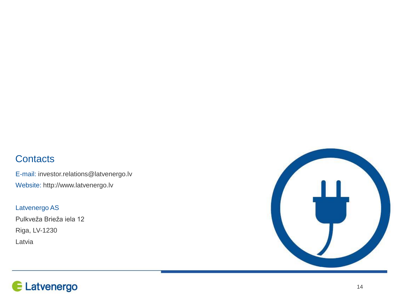### **Contacts**

E-mail: investor.relations@latvenergo.lv Website: http://www.latvenergo.lv

Latvenergo AS

Pulkveža Brieža iela 12 Riga, LV-1230 Latvia



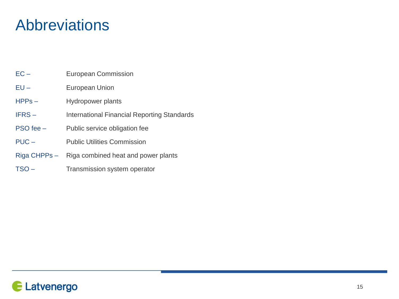## Abbreviations

- EC European Commission
- EU European Union
- HPPs Hydropower plants
- IFRS International Financial Reporting Standards
- PSO fee Public service obligation fee
- PUC Public Utilities Commission
- Riga CHPPs Riga combined heat and power plants
- TSO Transmission system operator

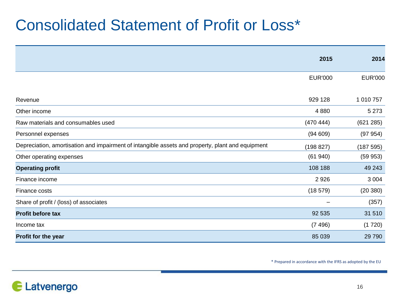# Consolidated Statement of Profit or Loss\*

|                                                                                                  | 2015           | 2014           |
|--------------------------------------------------------------------------------------------------|----------------|----------------|
|                                                                                                  |                |                |
|                                                                                                  | <b>EUR'000</b> | <b>EUR'000</b> |
|                                                                                                  |                |                |
| Revenue                                                                                          | 929 128        | 1 010 757      |
| Other income                                                                                     | 4 8 8 0        | 5 2 7 3        |
| Raw materials and consumables used                                                               | (470 444)      | (621 285)      |
| Personnel expenses                                                                               | (94609)        | (97954)        |
| Depreciation, amortisation and impairment of intangible assets and property, plant and equipment | (198 827)      | (187595)       |
| Other operating expenses                                                                         | (61940)        | (59953)        |
| <b>Operating profit</b>                                                                          | 108 188        | 49 243         |
| Finance income                                                                                   | 2 9 2 6        | 3 0 0 4        |
| Finance costs                                                                                    | (18579)        | (20 380)       |
| Share of profit / (loss) of associates                                                           |                | (357)          |
| <b>Profit before tax</b>                                                                         | 92 535         | 31 510         |
| Income tax                                                                                       | (7496)         | (1720)         |
| Profit for the year                                                                              | 85 039         | 29 7 9 0       |

\* Prepared in accordance with the IFRS as adopted by the EU

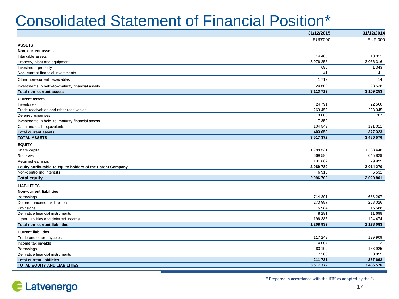# Consolidated Statement of Financial Position\*

|                                                             | 31/12/2015     | 31/12/2014     |
|-------------------------------------------------------------|----------------|----------------|
|                                                             | <b>EUR'000</b> | <b>EUR'000</b> |
| <b>ASSETS</b>                                               |                |                |
| Non-current assets                                          |                |                |
| Intangible assets                                           | 14 4 05        | 13 011         |
| Property, plant and equipment                               | 3 076 256      | 3 066 316      |
| Investment property                                         | 696            | 1 3 4 3        |
| Non-current financial investments                           | 41             | 41             |
| Other non-current receivables                               | 1712           | 14             |
| Investments in held-to-maturity financial assets            | 20 609         | 28 5 28        |
| Total non-current assets                                    | 3 113 719      | 3 109 253      |
| <b>Current assets</b>                                       |                |                |
| Inventories                                                 | 24 791         | 22 560         |
| Trade receivables and other receivables                     | 263 452        | 233 045        |
| Deferred expenses                                           | 3 0 0 8        | 707            |
| Investments in held-to-maturity financial assets            | 7859           |                |
| Cash and cash equivalents                                   | 104 543        | 121 011        |
| <b>Total current assets</b>                                 | 403 653        | 377 323        |
| <b>TOTAL ASSETS</b>                                         | 3 517 372      | 3 486 576      |
| <b>EQUITY</b>                                               |                |                |
| Share capital                                               | 1 288 531      | 1 288 446      |
| Reserves                                                    | 669 596        | 645 829        |
| Retained earnings                                           | 131 662        | 79 995         |
| Equity attributable to equity holders of the Parent Company | 2 089 789      | 2 014 270      |
| Non-controlling interests                                   | 6913           | 6531           |
| <b>Total equity</b>                                         | 2 096 702      | 2 0 20 8 0 1   |
| <b>LIABILITIES</b>                                          |                |                |
| Non-current liabilities                                     |                |                |
| <b>Borrowings</b>                                           | 714 291        | 688 297        |
| Deferred income tax liabilities                             | 273 987        | 268 026        |
| Provisions                                                  | 15 984         | 15 588         |
| Derivative financial instruments                            | 8 2 9 1        | 11 698         |
| Other liabilities and deferred income                       | 196 386        | 194 474        |
| <b>Total non-current liabilities</b>                        | 1 208 939      | 1 178 083      |
| <b>Current liabilities</b>                                  |                |                |
| Trade and other payables                                    | 117 249        | 139 909        |
| Income tax payable                                          | 4 0 0 7        | 3              |
| Borrowings                                                  | 83 192         | 138 925        |
| Derivative financial instruments                            | 7 2 8 3        | 8855           |
| <b>Total current liabilities</b>                            | 211 731        | 287 692        |
| TOTAL EQUITY AND LIABILITIES                                | 3 517 372      | 3 486 576      |
|                                                             |                |                |

Latvenergo E

\* Prepared in accordance with the IFRS as adopted by the EU